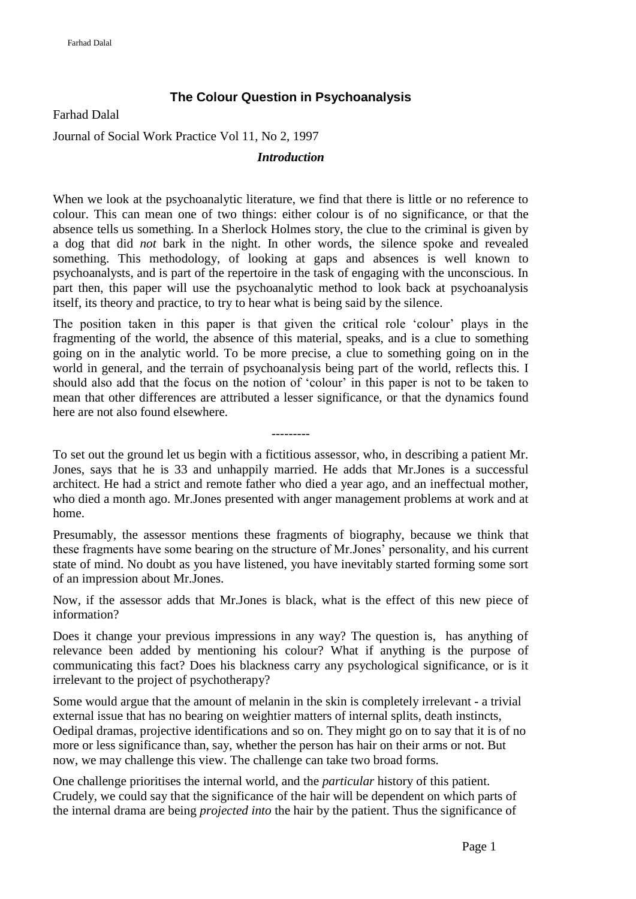# **The Colour Question in Psychoanalysis**

Farhad Dalal

Journal of Social Work Practice Vol 11, No 2, 1997

#### *Introduction*

When we look at the psychoanalytic literature, we find that there is little or no reference to colour. This can mean one of two things: either colour is of no significance, or that the absence tells us something. In a Sherlock Holmes story, the clue to the criminal is given by a dog that did *not* bark in the night. In other words, the silence spoke and revealed something. This methodology, of looking at gaps and absences is well known to psychoanalysts, and is part of the repertoire in the task of engaging with the unconscious. In part then, this paper will use the psychoanalytic method to look back at psychoanalysis itself, its theory and practice, to try to hear what is being said by the silence.

The position taken in this paper is that given the critical role 'colour' plays in the fragmenting of the world, the absence of this material, speaks, and is a clue to something going on in the analytic world. To be more precise, a clue to something going on in the world in general, and the terrain of psychoanalysis being part of the world, reflects this. I should also add that the focus on the notion of 'colour' in this paper is not to be taken to mean that other differences are attributed a lesser significance, or that the dynamics found here are not also found elsewhere.

To set out the ground let us begin with a fictitious assessor, who, in describing a patient Mr. Jones, says that he is 33 and unhappily married. He adds that Mr.Jones is a successful architect. He had a strict and remote father who died a year ago, and an ineffectual mother, who died a month ago. Mr.Jones presented with anger management problems at work and at home.

---------

Presumably, the assessor mentions these fragments of biography, because we think that these fragments have some bearing on the structure of Mr.Jones' personality, and his current state of mind. No doubt as you have listened, you have inevitably started forming some sort of an impression about Mr.Jones.

Now, if the assessor adds that Mr.Jones is black, what is the effect of this new piece of information?

Does it change your previous impressions in any way? The question is, has anything of relevance been added by mentioning his colour? What if anything is the purpose of communicating this fact? Does his blackness carry any psychological significance, or is it irrelevant to the project of psychotherapy?

Some would argue that the amount of melanin in the skin is completely irrelevant - a trivial external issue that has no bearing on weightier matters of internal splits, death instincts, Oedipal dramas, projective identifications and so on. They might go on to say that it is of no more or less significance than, say, whether the person has hair on their arms or not. But now, we may challenge this view. The challenge can take two broad forms.

One challenge prioritises the internal world, and the *particular* history of this patient. Crudely, we could say that the significance of the hair will be dependent on which parts of the internal drama are being *projected into* the hair by the patient. Thus the significance of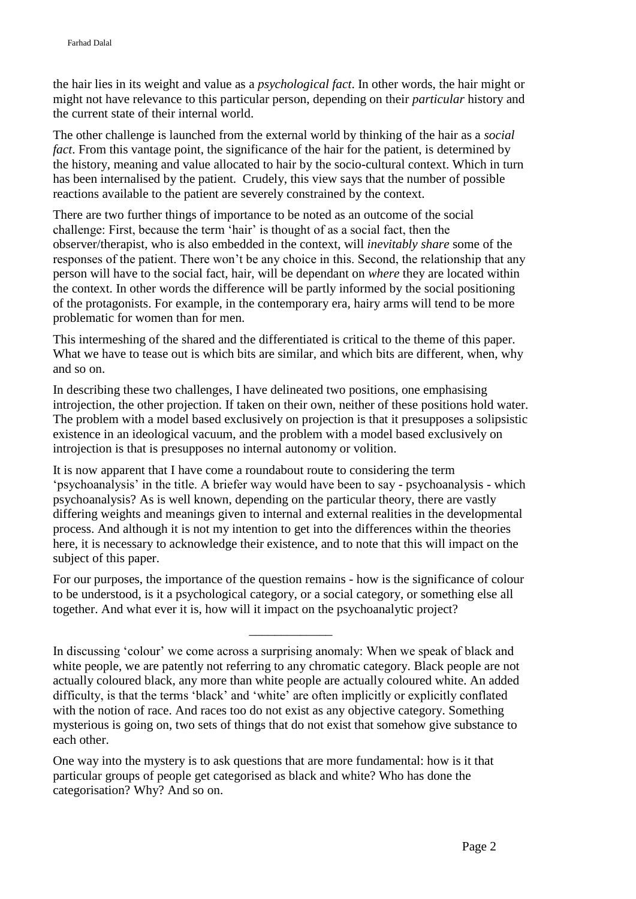the hair lies in its weight and value as a *psychological fact*. In other words, the hair might or might not have relevance to this particular person, depending on their *particular* history and the current state of their internal world.

The other challenge is launched from the external world by thinking of the hair as a *social fact*. From this vantage point, the significance of the hair for the patient, is determined by the history, meaning and value allocated to hair by the socio-cultural context. Which in turn has been internalised by the patient. Crudely, this view says that the number of possible reactions available to the patient are severely constrained by the context.

There are two further things of importance to be noted as an outcome of the social challenge: First, because the term 'hair' is thought of as a social fact, then the observer/therapist, who is also embedded in the context, will *inevitably share* some of the responses of the patient. There won't be any choice in this. Second, the relationship that any person will have to the social fact, hair, will be dependant on *where* they are located within the context. In other words the difference will be partly informed by the social positioning of the protagonists. For example, in the contemporary era, hairy arms will tend to be more problematic for women than for men.

This intermeshing of the shared and the differentiated is critical to the theme of this paper. What we have to tease out is which bits are similar, and which bits are different, when, why and so on.

In describing these two challenges, I have delineated two positions, one emphasising introjection, the other projection. If taken on their own, neither of these positions hold water. The problem with a model based exclusively on projection is that it presupposes a solipsistic existence in an ideological vacuum, and the problem with a model based exclusively on introjection is that is presupposes no internal autonomy or volition.

It is now apparent that I have come a roundabout route to considering the term 'psychoanalysis' in the title. A briefer way would have been to say - psychoanalysis - which psychoanalysis? As is well known, depending on the particular theory, there are vastly differing weights and meanings given to internal and external realities in the developmental process. And although it is not my intention to get into the differences within the theories here, it is necessary to acknowledge their existence, and to note that this will impact on the subject of this paper.

For our purposes, the importance of the question remains - how is the significance of colour to be understood, is it a psychological category, or a social category, or something else all together. And what ever it is, how will it impact on the psychoanalytic project?

\_\_\_\_\_\_\_\_\_\_\_\_\_

In discussing 'colour' we come across a surprising anomaly: When we speak of black and white people, we are patently not referring to any chromatic category. Black people are not actually coloured black, any more than white people are actually coloured white. An added difficulty, is that the terms 'black' and 'white' are often implicitly or explicitly conflated with the notion of race. And races too do not exist as any objective category. Something mysterious is going on, two sets of things that do not exist that somehow give substance to each other.

One way into the mystery is to ask questions that are more fundamental: how is it that particular groups of people get categorised as black and white? Who has done the categorisation? Why? And so on.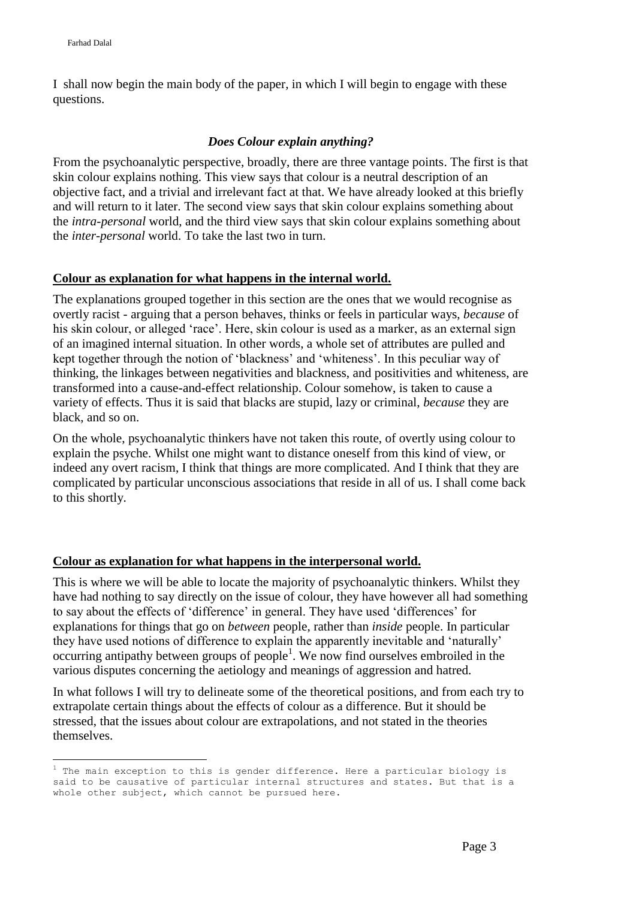I shall now begin the main body of the paper, in which I will begin to engage with these questions.

#### *Does Colour explain anything?*

From the psychoanalytic perspective, broadly, there are three vantage points. The first is that skin colour explains nothing. This view says that colour is a neutral description of an objective fact, and a trivial and irrelevant fact at that. We have already looked at this briefly and will return to it later. The second view says that skin colour explains something about the *intra-personal* world, and the third view says that skin colour explains something about the *inter-personal* world. To take the last two in turn.

# **Colour as explanation for what happens in the internal world.**

The explanations grouped together in this section are the ones that we would recognise as overtly racist - arguing that a person behaves, thinks or feels in particular ways, *because* of his skin colour, or alleged 'race'. Here, skin colour is used as a marker, as an external sign of an imagined internal situation. In other words, a whole set of attributes are pulled and kept together through the notion of 'blackness' and 'whiteness'. In this peculiar way of thinking, the linkages between negativities and blackness, and positivities and whiteness, are transformed into a cause-and-effect relationship. Colour somehow, is taken to cause a variety of effects. Thus it is said that blacks are stupid, lazy or criminal, *because* they are black, and so on.

On the whole, psychoanalytic thinkers have not taken this route, of overtly using colour to explain the psyche. Whilst one might want to distance oneself from this kind of view, or indeed any overt racism, I think that things are more complicated. And I think that they are complicated by particular unconscious associations that reside in all of us. I shall come back to this shortly.

# **Colour as explanation for what happens in the interpersonal world.**

This is where we will be able to locate the majority of psychoanalytic thinkers. Whilst they have had nothing to say directly on the issue of colour, they have however all had something to say about the effects of 'difference' in general. They have used 'differences' for explanations for things that go on *between* people, rather than *inside* people. In particular they have used notions of difference to explain the apparently inevitable and 'naturally'  $\alpha$  occurring antipathy between groups of people<sup>1</sup>. We now find ourselves embroiled in the various disputes concerning the aetiology and meanings of aggression and hatred.

In what follows I will try to delineate some of the theoretical positions, and from each try to extrapolate certain things about the effects of colour as a difference. But it should be stressed, that the issues about colour are extrapolations, and not stated in the theories themselves.

 $\overline{a}$  $^1$  The main exception to this is gender difference. Here a particular biology is said to be causative of particular internal structures and states. But that is a whole other subject, which cannot be pursued here.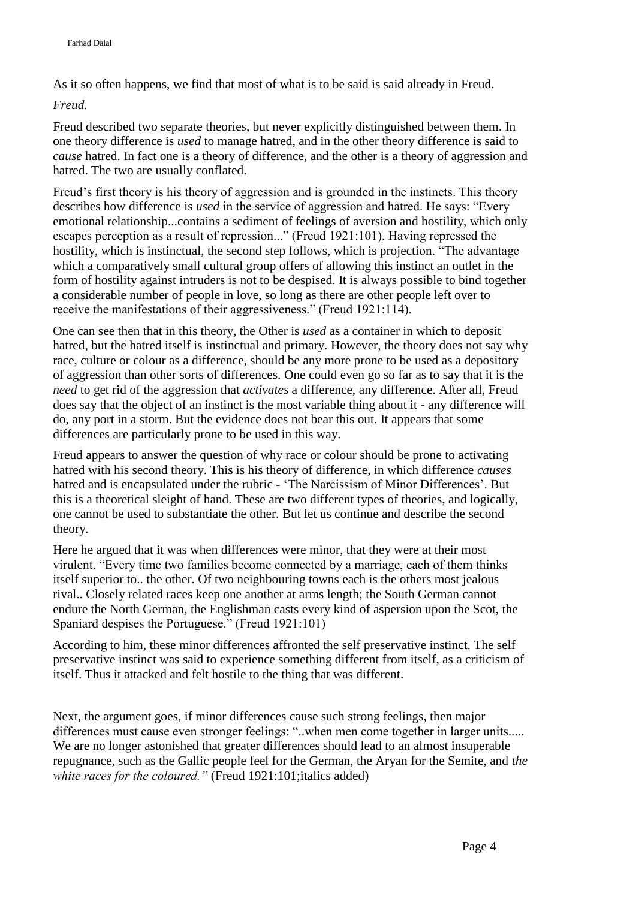As it so often happens, we find that most of what is to be said is said already in Freud.

#### *Freud.*

Freud described two separate theories, but never explicitly distinguished between them. In one theory difference is *used* to manage hatred, and in the other theory difference is said to *cause* hatred. In fact one is a theory of difference, and the other is a theory of aggression and hatred. The two are usually conflated.

Freud's first theory is his theory of aggression and is grounded in the instincts. This theory describes how difference is *used* in the service of aggression and hatred. He says: "Every emotional relationship...contains a sediment of feelings of aversion and hostility, which only escapes perception as a result of repression..." (Freud 1921:101). Having repressed the hostility, which is instinctual, the second step follows, which is projection. "The advantage which a comparatively small cultural group offers of allowing this instinct an outlet in the form of hostility against intruders is not to be despised. It is always possible to bind together a considerable number of people in love, so long as there are other people left over to receive the manifestations of their aggressiveness." (Freud 1921:114).

One can see then that in this theory, the Other is *used* as a container in which to deposit hatred, but the hatred itself is instinctual and primary. However, the theory does not say why race, culture or colour as a difference, should be any more prone to be used as a depository of aggression than other sorts of differences. One could even go so far as to say that it is the *need* to get rid of the aggression that *activates* a difference, any difference. After all, Freud does say that the object of an instinct is the most variable thing about it - any difference will do, any port in a storm. But the evidence does not bear this out. It appears that some differences are particularly prone to be used in this way.

Freud appears to answer the question of why race or colour should be prone to activating hatred with his second theory. This is his theory of difference, in which difference *causes* hatred and is encapsulated under the rubric - 'The Narcissism of Minor Differences'. But this is a theoretical sleight of hand. These are two different types of theories, and logically, one cannot be used to substantiate the other. But let us continue and describe the second theory.

Here he argued that it was when differences were minor, that they were at their most virulent. "Every time two families become connected by a marriage, each of them thinks itself superior to.. the other. Of two neighbouring towns each is the others most jealous rival.. Closely related races keep one another at arms length; the South German cannot endure the North German, the Englishman casts every kind of aspersion upon the Scot, the Spaniard despises the Portuguese." (Freud 1921:101)

According to him, these minor differences affronted the self preservative instinct. The self preservative instinct was said to experience something different from itself, as a criticism of itself. Thus it attacked and felt hostile to the thing that was different.

Next, the argument goes, if minor differences cause such strong feelings, then major differences must cause even stronger feelings: "..when men come together in larger units..... We are no longer astonished that greater differences should lead to an almost insuperable repugnance, such as the Gallic people feel for the German, the Aryan for the Semite, and *the white races for the coloured."* (Freud 1921:101;italics added)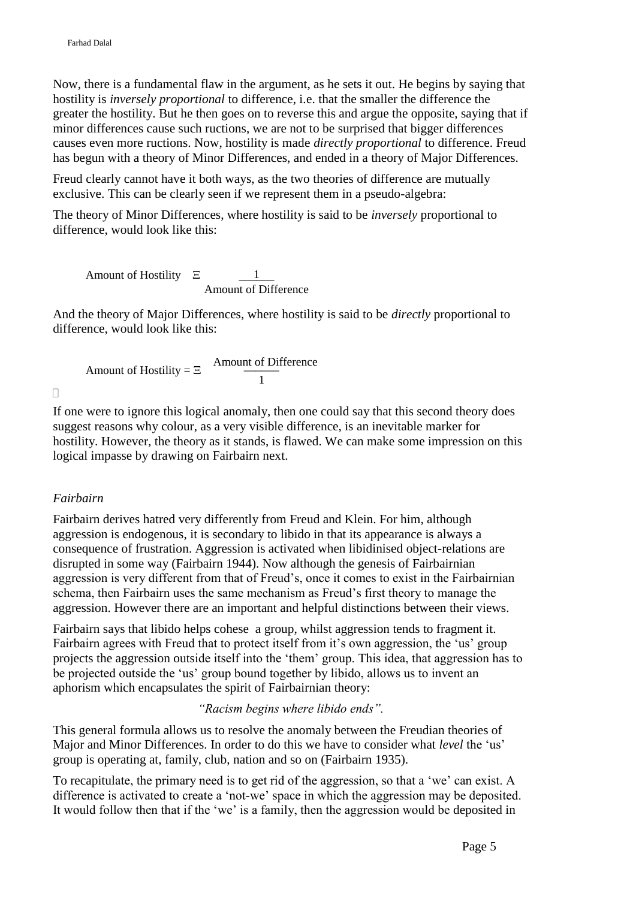Now, there is a fundamental flaw in the argument, as he sets it out. He begins by saying that hostility is *inversely proportional* to difference, i.e. that the smaller the difference the greater the hostility. But he then goes on to reverse this and argue the opposite, saying that if minor differences cause such ructions, we are not to be surprised that bigger differences causes even more ructions. Now, hostility is made *directly proportional* to difference. Freud has begun with a theory of Minor Differences, and ended in a theory of Major Differences.

Freud clearly cannot have it both ways, as the two theories of difference are mutually exclusive. This can be clearly seen if we represent them in a pseudo-algebra:

The theory of Minor Differences, where hostility is said to be *inversely* proportional to difference, would look like this:

 $\blacksquare$ Amount of Difference Amount of Hostility  $\Xi$ 

And the theory of Major Differences, where hostility is said to be *directly* proportional to difference, would look like this:

Amount of Hostility = 
$$
\Xi
$$
 \nAmount of Difference \n1

 $\Box$ 

If one were to ignore this logical anomaly, then one could say that this second theory does suggest reasons why colour, as a very visible difference, is an inevitable marker for hostility. However, the theory as it stands, is flawed. We can make some impression on this logical impasse by drawing on Fairbairn next.

# *Fairbairn*

Fairbairn derives hatred very differently from Freud and Klein. For him, although aggression is endogenous, it is secondary to libido in that its appearance is always a consequence of frustration. Aggression is activated when libidinised object-relations are disrupted in some way (Fairbairn 1944). Now although the genesis of Fairbairnian aggression is very different from that of Freud's, once it comes to exist in the Fairbairnian schema, then Fairbairn uses the same mechanism as Freud's first theory to manage the aggression. However there are an important and helpful distinctions between their views.

Fairbairn says that libido helps cohese a group, whilst aggression tends to fragment it. Fairbairn agrees with Freud that to protect itself from it's own aggression, the 'us' group projects the aggression outside itself into the 'them' group. This idea, that aggression has to be projected outside the 'us' group bound together by libido, allows us to invent an aphorism which encapsulates the spirit of Fairbairnian theory:

# *"Racism begins where libido ends".*

This general formula allows us to resolve the anomaly between the Freudian theories of Major and Minor Differences. In order to do this we have to consider what *level* the 'us' group is operating at, family, club, nation and so on (Fairbairn 1935).

To recapitulate, the primary need is to get rid of the aggression, so that a 'we' can exist. A difference is activated to create a 'not-we' space in which the aggression may be deposited. It would follow then that if the 'we' is a family, then the aggression would be deposited in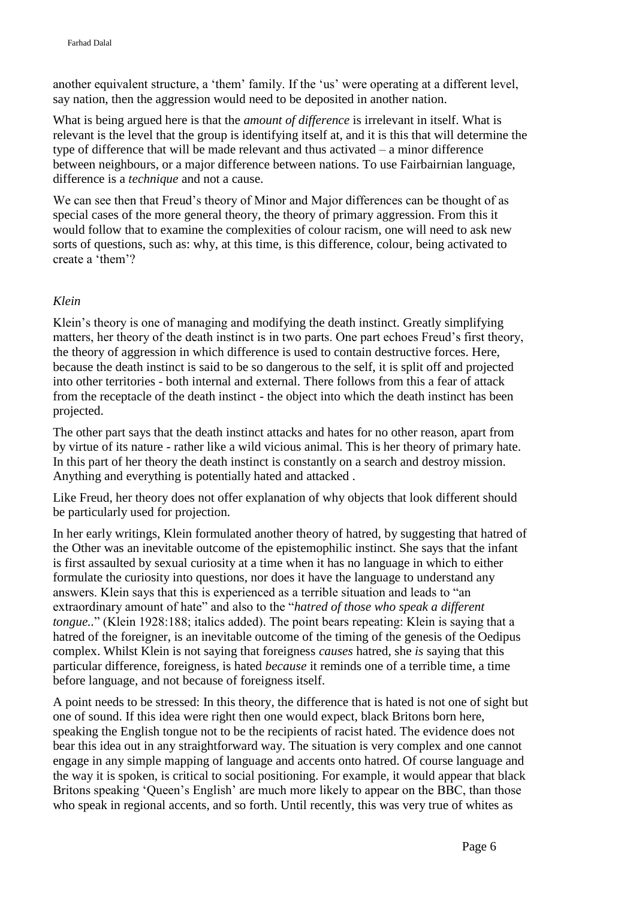another equivalent structure, a 'them' family. If the 'us' were operating at a different level, say nation, then the aggression would need to be deposited in another nation.

What is being argued here is that the *amount of difference* is irrelevant in itself. What is relevant is the level that the group is identifying itself at, and it is this that will determine the type of difference that will be made relevant and thus activated – a minor difference between neighbours, or a major difference between nations. To use Fairbairnian language, difference is a *technique* and not a cause.

We can see then that Freud's theory of Minor and Major differences can be thought of as special cases of the more general theory, the theory of primary aggression. From this it would follow that to examine the complexities of colour racism, one will need to ask new sorts of questions, such as: why, at this time, is this difference, colour, being activated to create a 'them'?

# *Klein*

Klein's theory is one of managing and modifying the death instinct. Greatly simplifying matters, her theory of the death instinct is in two parts. One part echoes Freud's first theory, the theory of aggression in which difference is used to contain destructive forces. Here, because the death instinct is said to be so dangerous to the self, it is split off and projected into other territories - both internal and external. There follows from this a fear of attack from the receptacle of the death instinct - the object into which the death instinct has been projected.

The other part says that the death instinct attacks and hates for no other reason, apart from by virtue of its nature - rather like a wild vicious animal. This is her theory of primary hate. In this part of her theory the death instinct is constantly on a search and destroy mission. Anything and everything is potentially hated and attacked .

Like Freud, her theory does not offer explanation of why objects that look different should be particularly used for projection.

In her early writings, Klein formulated another theory of hatred, by suggesting that hatred of the Other was an inevitable outcome of the epistemophilic instinct. She says that the infant is first assaulted by sexual curiosity at a time when it has no language in which to either formulate the curiosity into questions, nor does it have the language to understand any answers. Klein says that this is experienced as a terrible situation and leads to "an extraordinary amount of hate" and also to the "*hatred of those who speak a different tongue..*" (Klein 1928:188; italics added). The point bears repeating: Klein is saying that a hatred of the foreigner, is an inevitable outcome of the timing of the genesis of the Oedipus complex. Whilst Klein is not saying that foreigness *causes* hatred, she *is* saying that this particular difference, foreigness, is hated *because* it reminds one of a terrible time, a time before language, and not because of foreigness itself.

A point needs to be stressed: In this theory, the difference that is hated is not one of sight but one of sound. If this idea were right then one would expect, black Britons born here, speaking the English tongue not to be the recipients of racist hated. The evidence does not bear this idea out in any straightforward way. The situation is very complex and one cannot engage in any simple mapping of language and accents onto hatred. Of course language and the way it is spoken, is critical to social positioning. For example, it would appear that black Britons speaking 'Queen's English' are much more likely to appear on the BBC, than those who speak in regional accents, and so forth. Until recently, this was very true of whites as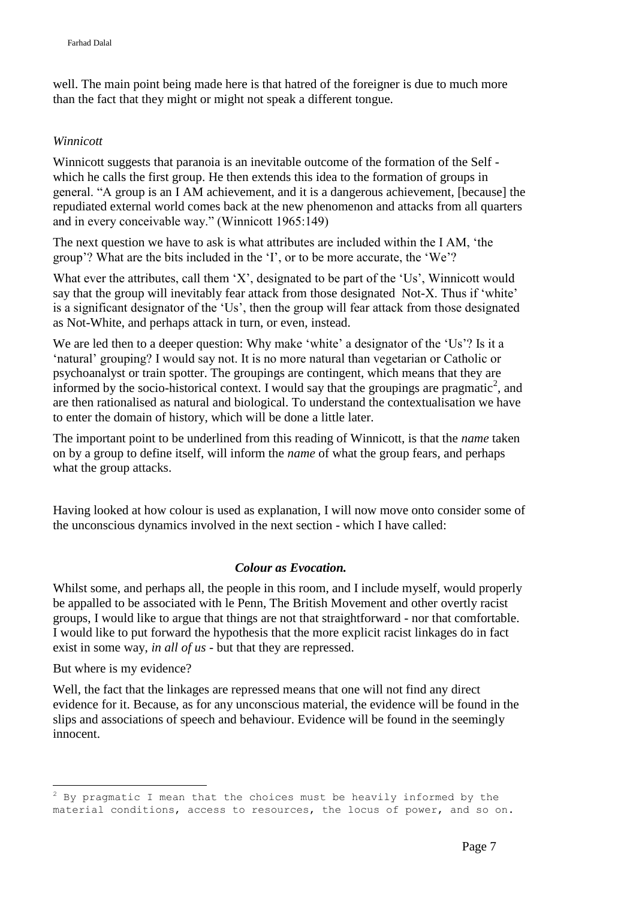well. The main point being made here is that hatred of the foreigner is due to much more than the fact that they might or might not speak a different tongue.

#### *Winnicott*

Winnicott suggests that paranoia is an inevitable outcome of the formation of the Self which he calls the first group. He then extends this idea to the formation of groups in general. "A group is an I AM achievement, and it is a dangerous achievement, [because] the repudiated external world comes back at the new phenomenon and attacks from all quarters and in every conceivable way." (Winnicott 1965:149)

The next question we have to ask is what attributes are included within the I AM, 'the group'? What are the bits included in the 'I', or to be more accurate, the 'We'?

What ever the attributes, call them 'X', designated to be part of the 'Us', Winnicott would say that the group will inevitably fear attack from those designated Not-X. Thus if 'white' is a significant designator of the 'Us', then the group will fear attack from those designated as Not-White, and perhaps attack in turn, or even, instead.

We are led then to a deeper question: Why make 'white' a designator of the 'Us'? Is it a 'natural' grouping? I would say not. It is no more natural than vegetarian or Catholic or psychoanalyst or train spotter. The groupings are contingent, which means that they are informed by the socio-historical context. I would say that the groupings are pragmatic<sup>2</sup>, and are then rationalised as natural and biological. To understand the contextualisation we have to enter the domain of history, which will be done a little later.

The important point to be underlined from this reading of Winnicott, is that the *name* taken on by a group to define itself, will inform the *name* of what the group fears, and perhaps what the group attacks.

Having looked at how colour is used as explanation, I will now move onto consider some of the unconscious dynamics involved in the next section - which I have called:

# *Colour as Evocation.*

Whilst some, and perhaps all, the people in this room, and I include myself, would properly be appalled to be associated with le Penn, The British Movement and other overtly racist groups, I would like to argue that things are not that straightforward - nor that comfortable. I would like to put forward the hypothesis that the more explicit racist linkages do in fact exist in some way, *in all of us* - but that they are repressed.

But where is my evidence?

Well, the fact that the linkages are repressed means that one will not find any direct evidence for it. Because, as for any unconscious material, the evidence will be found in the slips and associations of speech and behaviour. Evidence will be found in the seemingly innocent.

 $\overline{a}$ By pragmatic I mean that the choices must be heavily informed by the material conditions, access to resources, the locus of power, and so on.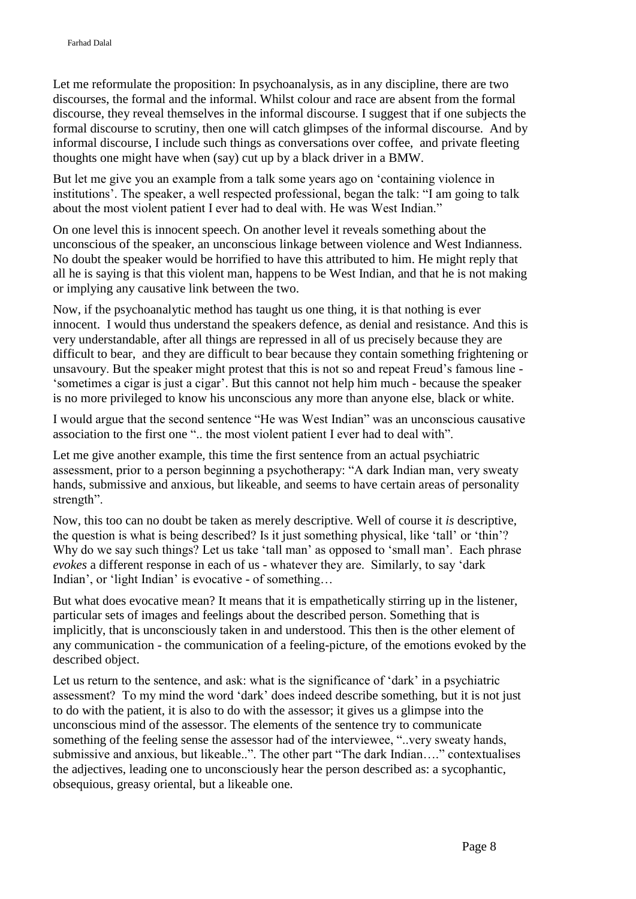Let me reformulate the proposition: In psychoanalysis, as in any discipline, there are two discourses, the formal and the informal. Whilst colour and race are absent from the formal discourse, they reveal themselves in the informal discourse. I suggest that if one subjects the formal discourse to scrutiny, then one will catch glimpses of the informal discourse. And by informal discourse, I include such things as conversations over coffee, and private fleeting thoughts one might have when (say) cut up by a black driver in a BMW.

But let me give you an example from a talk some years ago on 'containing violence in institutions'. The speaker, a well respected professional, began the talk: "I am going to talk about the most violent patient I ever had to deal with. He was West Indian."

On one level this is innocent speech. On another level it reveals something about the unconscious of the speaker, an unconscious linkage between violence and West Indianness. No doubt the speaker would be horrified to have this attributed to him. He might reply that all he is saying is that this violent man, happens to be West Indian, and that he is not making or implying any causative link between the two.

Now, if the psychoanalytic method has taught us one thing, it is that nothing is ever innocent. I would thus understand the speakers defence, as denial and resistance. And this is very understandable, after all things are repressed in all of us precisely because they are difficult to bear, and they are difficult to bear because they contain something frightening or unsavoury. But the speaker might protest that this is not so and repeat Freud's famous line - 'sometimes a cigar is just a cigar'. But this cannot not help him much - because the speaker is no more privileged to know his unconscious any more than anyone else, black or white.

I would argue that the second sentence "He was West Indian" was an unconscious causative association to the first one ".. the most violent patient I ever had to deal with".

Let me give another example, this time the first sentence from an actual psychiatric assessment, prior to a person beginning a psychotherapy: "A dark Indian man, very sweaty hands, submissive and anxious, but likeable, and seems to have certain areas of personality strength".

Now, this too can no doubt be taken as merely descriptive. Well of course it *is* descriptive, the question is what is being described? Is it just something physical, like 'tall' or 'thin'? Why do we say such things? Let us take 'tall man' as opposed to 'small man'. Each phrase *evokes* a different response in each of us - whatever they are. Similarly, to say 'dark Indian', or 'light Indian' is evocative - of something...

But what does evocative mean? It means that it is empathetically stirring up in the listener, particular sets of images and feelings about the described person. Something that is implicitly, that is unconsciously taken in and understood. This then is the other element of any communication - the communication of a feeling-picture, of the emotions evoked by the described object.

Let us return to the sentence, and ask: what is the significance of 'dark' in a psychiatric assessment? To my mind the word 'dark' does indeed describe something, but it is not just to do with the patient, it is also to do with the assessor; it gives us a glimpse into the unconscious mind of the assessor. The elements of the sentence try to communicate something of the feeling sense the assessor had of the interviewee, "..very sweaty hands, submissive and anxious, but likeable..". The other part "The dark Indian…." contextualises the adjectives, leading one to unconsciously hear the person described as: a sycophantic, obsequious, greasy oriental, but a likeable one.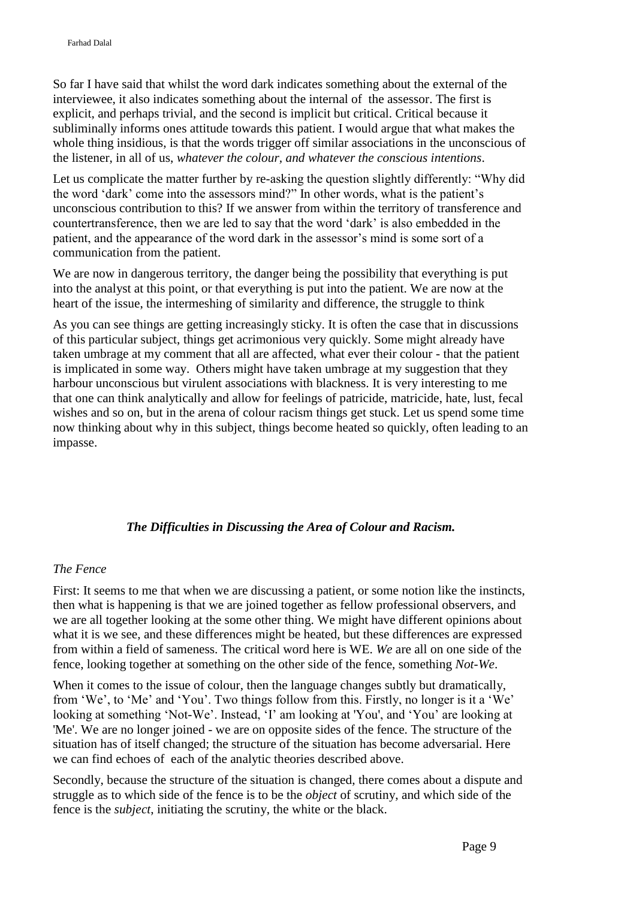So far I have said that whilst the word dark indicates something about the external of the interviewee, it also indicates something about the internal of the assessor. The first is explicit, and perhaps trivial, and the second is implicit but critical. Critical because it subliminally informs ones attitude towards this patient. I would argue that what makes the whole thing insidious, is that the words trigger off similar associations in the unconscious of the listener, in all of us, *whatever the colour, and whatever the conscious intentions*.

Let us complicate the matter further by re-asking the question slightly differently: "Why did the word 'dark' come into the assessors mind?" In other words, what is the patient's unconscious contribution to this? If we answer from within the territory of transference and countertransference, then we are led to say that the word 'dark' is also embedded in the patient, and the appearance of the word dark in the assessor's mind is some sort of a communication from the patient.

We are now in dangerous territory, the danger being the possibility that everything is put into the analyst at this point, or that everything is put into the patient. We are now at the heart of the issue, the intermeshing of similarity and difference, the struggle to think

As you can see things are getting increasingly sticky. It is often the case that in discussions of this particular subject, things get acrimonious very quickly. Some might already have taken umbrage at my comment that all are affected, what ever their colour - that the patient is implicated in some way. Others might have taken umbrage at my suggestion that they harbour unconscious but virulent associations with blackness. It is very interesting to me that one can think analytically and allow for feelings of patricide, matricide, hate, lust, fecal wishes and so on, but in the arena of colour racism things get stuck. Let us spend some time now thinking about why in this subject, things become heated so quickly, often leading to an impasse.

#### *The Difficulties in Discussing the Area of Colour and Racism.*

#### *The Fence*

First: It seems to me that when we are discussing a patient, or some notion like the instincts, then what is happening is that we are joined together as fellow professional observers, and we are all together looking at the some other thing. We might have different opinions about what it is we see, and these differences might be heated, but these differences are expressed from within a field of sameness. The critical word here is WE. *We* are all on one side of the fence, looking together at something on the other side of the fence, something *Not-We*.

When it comes to the issue of colour, then the language changes subtly but dramatically, from 'We', to 'Me' and 'You'. Two things follow from this. Firstly, no longer is it a 'We' looking at something 'Not-We'. Instead, 'I' am looking at 'You', and 'You' are looking at 'Me'. We are no longer joined - we are on opposite sides of the fence. The structure of the situation has of itself changed; the structure of the situation has become adversarial. Here we can find echoes of each of the analytic theories described above.

Secondly, because the structure of the situation is changed, there comes about a dispute and struggle as to which side of the fence is to be the *object* of scrutiny, and which side of the fence is the *subject*, initiating the scrutiny, the white or the black.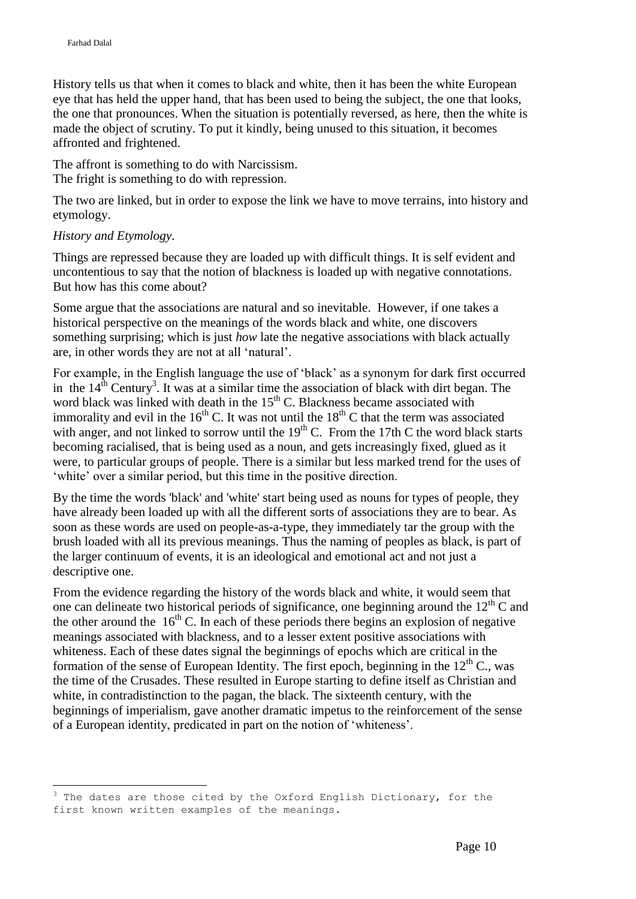History tells us that when it comes to black and white, then it has been the white European eye that has held the upper hand, that has been used to being the subject, the one that looks, the one that pronounces. When the situation is potentially reversed, as here, then the white is made the object of scrutiny. To put it kindly, being unused to this situation, it becomes affronted and frightened.

The affront is something to do with Narcissism. The fright is something to do with repression.

The two are linked, but in order to expose the link we have to move terrains, into history and etymology.

# *History and Etymology.*

 $\overline{a}$ 

Things are repressed because they are loaded up with difficult things. It is self evident and uncontentious to say that the notion of blackness is loaded up with negative connotations. But how has this come about?

Some argue that the associations are natural and so inevitable. However, if one takes a historical perspective on the meanings of the words black and white, one discovers something surprising; which is just *how* late the negative associations with black actually are, in other words they are not at all 'natural'.

For example, in the English language the use of 'black' as a synonym for dark first occurred in the  $14<sup>th</sup>$  Century<sup>3</sup>. It was at a similar time the association of black with dirt began. The word black was linked with death in the  $15<sup>th</sup>$  C. Blackness became associated with immorality and evil in the  $16<sup>th</sup>$  C. It was not until the  $18<sup>th</sup>$  C that the term was associated with anger, and not linked to sorrow until the  $19<sup>th</sup>$  C. From the 17th C the word black starts becoming racialised, that is being used as a noun, and gets increasingly fixed, glued as it were, to particular groups of people. There is a similar but less marked trend for the uses of 'white' over a similar period, but this time in the positive direction.

By the time the words 'black' and 'white' start being used as nouns for types of people, they have already been loaded up with all the different sorts of associations they are to bear. As soon as these words are used on people-as-a-type, they immediately tar the group with the brush loaded with all its previous meanings. Thus the naming of peoples as black, is part of the larger continuum of events, it is an ideological and emotional act and not just a descriptive one.

From the evidence regarding the history of the words black and white, it would seem that one can delineate two historical periods of significance, one beginning around the  $12<sup>th</sup>$ C and the other around the  $16<sup>th</sup>$ C. In each of these periods there begins an explosion of negative meanings associated with blackness, and to a lesser extent positive associations with whiteness. Each of these dates signal the beginnings of epochs which are critical in the formation of the sense of European Identity. The first epoch, beginning in the  $12<sup>th</sup>$  C., was the time of the Crusades. These resulted in Europe starting to define itself as Christian and white, in contradistinction to the pagan, the black. The sixteenth century, with the beginnings of imperialism, gave another dramatic impetus to the reinforcement of the sense of a European identity, predicated in part on the notion of 'whiteness'.

The dates are those cited by the Oxford English Dictionary, for the first known written examples of the meanings.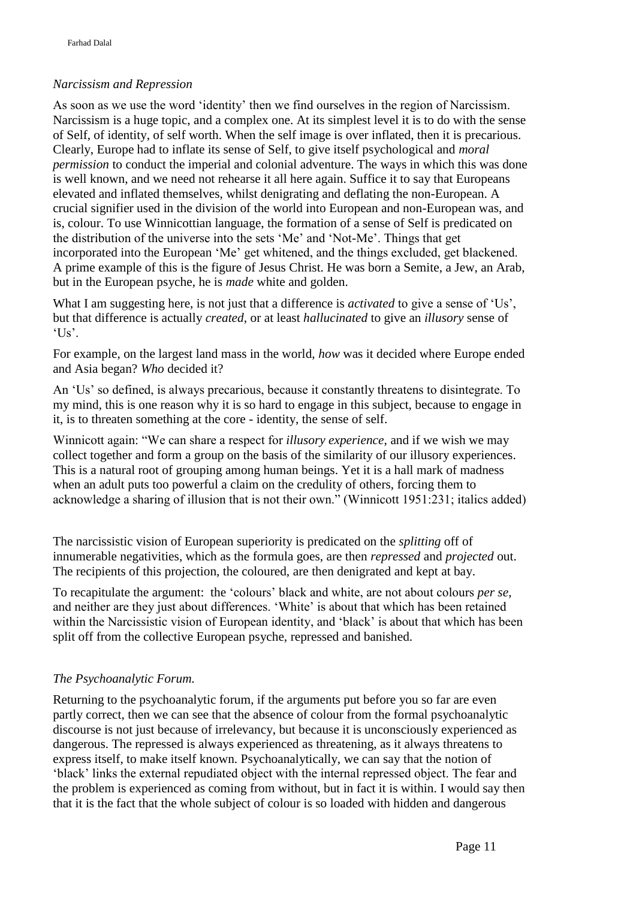# *Narcissism and Repression*

As soon as we use the word 'identity' then we find ourselves in the region of Narcissism. Narcissism is a huge topic, and a complex one. At its simplest level it is to do with the sense of Self, of identity, of self worth. When the self image is over inflated, then it is precarious. Clearly, Europe had to inflate its sense of Self, to give itself psychological and *moral permission* to conduct the imperial and colonial adventure. The ways in which this was done is well known, and we need not rehearse it all here again. Suffice it to say that Europeans elevated and inflated themselves, whilst denigrating and deflating the non-European. A crucial signifier used in the division of the world into European and non-European was, and is, colour. To use Winnicottian language, the formation of a sense of Self is predicated on the distribution of the universe into the sets 'Me' and 'Not-Me'. Things that get incorporated into the European 'Me' get whitened, and the things excluded, get blackened. A prime example of this is the figure of Jesus Christ. He was born a Semite, a Jew, an Arab, but in the European psyche, he is *made* white and golden.

What I am suggesting here, is not just that a difference is *activated* to give a sense of 'Us', but that difference is actually *created*, or at least *hallucinated* to give an *illusory* sense of 'Us'.

For example, on the largest land mass in the world, *how* was it decided where Europe ended and Asia began? *Who* decided it?

An 'Us' so defined, is always precarious, because it constantly threatens to disintegrate. To my mind, this is one reason why it is so hard to engage in this subject, because to engage in it, is to threaten something at the core - identity, the sense of self.

Winnicott again: "We can share a respect for *illusory experience*, and if we wish we may collect together and form a group on the basis of the similarity of our illusory experiences. This is a natural root of grouping among human beings. Yet it is a hall mark of madness when an adult puts too powerful a claim on the credulity of others, forcing them to acknowledge a sharing of illusion that is not their own." (Winnicott 1951:231; italics added)

The narcissistic vision of European superiority is predicated on the *splitting* off of innumerable negativities, which as the formula goes, are then *repressed* and *projected* out. The recipients of this projection, the coloured, are then denigrated and kept at bay.

To recapitulate the argument: the 'colours' black and white, are not about colours *per se*, and neither are they just about differences. 'White' is about that which has been retained within the Narcissistic vision of European identity, and 'black' is about that which has been split off from the collective European psyche, repressed and banished.

# *The Psychoanalytic Forum.*

Returning to the psychoanalytic forum, if the arguments put before you so far are even partly correct, then we can see that the absence of colour from the formal psychoanalytic discourse is not just because of irrelevancy, but because it is unconsciously experienced as dangerous. The repressed is always experienced as threatening, as it always threatens to express itself, to make itself known. Psychoanalytically, we can say that the notion of 'black' links the external repudiated object with the internal repressed object. The fear and the problem is experienced as coming from without, but in fact it is within. I would say then that it is the fact that the whole subject of colour is so loaded with hidden and dangerous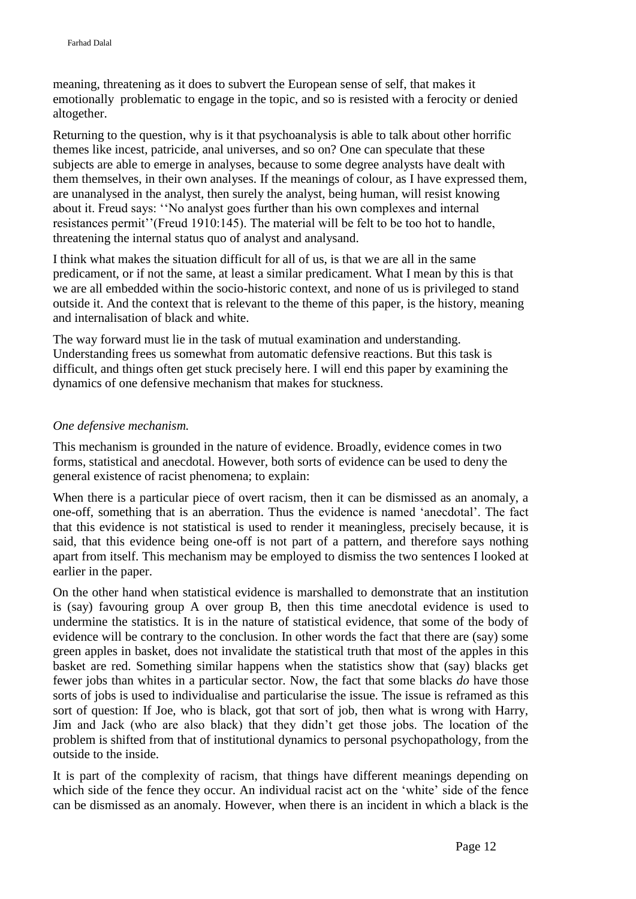meaning, threatening as it does to subvert the European sense of self, that makes it emotionally problematic to engage in the topic, and so is resisted with a ferocity or denied altogether.

Returning to the question, why is it that psychoanalysis is able to talk about other horrific themes like incest, patricide, anal universes, and so on? One can speculate that these subjects are able to emerge in analyses, because to some degree analysts have dealt with them themselves, in their own analyses. If the meanings of colour, as I have expressed them, are unanalysed in the analyst, then surely the analyst, being human, will resist knowing about it. Freud says: ''No analyst goes further than his own complexes and internal resistances permit''(Freud 1910:145). The material will be felt to be too hot to handle, threatening the internal status quo of analyst and analysand.

I think what makes the situation difficult for all of us, is that we are all in the same predicament, or if not the same, at least a similar predicament. What I mean by this is that we are all embedded within the socio-historic context, and none of us is privileged to stand outside it. And the context that is relevant to the theme of this paper, is the history, meaning and internalisation of black and white.

The way forward must lie in the task of mutual examination and understanding. Understanding frees us somewhat from automatic defensive reactions. But this task is difficult, and things often get stuck precisely here. I will end this paper by examining the dynamics of one defensive mechanism that makes for stuckness.

#### *One defensive mechanism.*

This mechanism is grounded in the nature of evidence. Broadly, evidence comes in two forms, statistical and anecdotal. However, both sorts of evidence can be used to deny the general existence of racist phenomena; to explain:

When there is a particular piece of overt racism, then it can be dismissed as an anomaly, a one-off, something that is an aberration. Thus the evidence is named 'anecdotal'. The fact that this evidence is not statistical is used to render it meaningless, precisely because, it is said, that this evidence being one-off is not part of a pattern, and therefore says nothing apart from itself. This mechanism may be employed to dismiss the two sentences I looked at earlier in the paper.

On the other hand when statistical evidence is marshalled to demonstrate that an institution is (say) favouring group A over group B, then this time anecdotal evidence is used to undermine the statistics. It is in the nature of statistical evidence, that some of the body of evidence will be contrary to the conclusion. In other words the fact that there are (say) some green apples in basket, does not invalidate the statistical truth that most of the apples in this basket are red. Something similar happens when the statistics show that (say) blacks get fewer jobs than whites in a particular sector. Now, the fact that some blacks *do* have those sorts of jobs is used to individualise and particularise the issue. The issue is reframed as this sort of question: If Joe, who is black, got that sort of job, then what is wrong with Harry, Jim and Jack (who are also black) that they didn't get those jobs. The location of the problem is shifted from that of institutional dynamics to personal psychopathology, from the outside to the inside.

It is part of the complexity of racism, that things have different meanings depending on which side of the fence they occur. An individual racist act on the 'white' side of the fence can be dismissed as an anomaly. However, when there is an incident in which a black is the